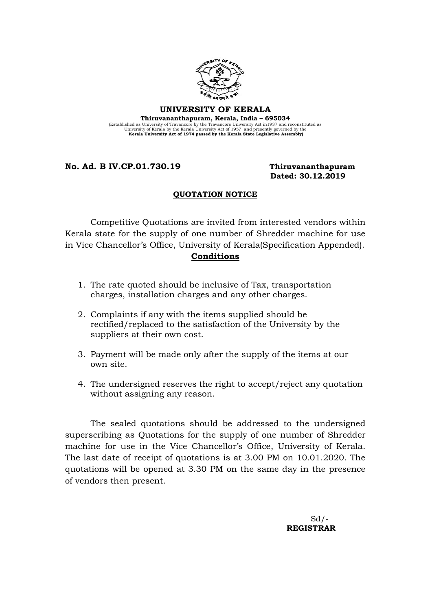

### UNIVERSITY OF KERALA Thiruvananthapuram, Kerala, India – 695034 (Established as University of Travancore by the Travancore University Act in 1937 and reconstituted as University Act Assembly the Kerala University Act of 1957 and presently governed by the Kerala University Act of 1974 p

## No. Ad. B IV.CP.01.730.19 Thiruvananthapuram

# Dated: 30.12.2019

### QUOTATION NOTICE

Competitive Quotations are invited from interested vendors within Kerala state for the supply of one number of Shredder machine for use in Vice Chancellor's Office, University of Kerala(Specification Appended). Conditions

- 1. The rate quoted should be inclusive of Tax, transportation charges, installation charges and any other charges.
- 2. Complaints if any with the items supplied should be rectified/replaced to the satisfaction of the University by the suppliers at their own cost.
- 3. Payment will be made only after the supply of the items at our own site.
- 4. The undersigned reserves the right to accept/reject any quotation without assigning any reason.

The sealed quotations should be addressed to the undersigned superscribing as Quotations for the supply of one number of Shredder machine for use in the Vice Chancellor's Office, University of Kerala. The last date of receipt of quotations is at 3.00 PM on 10.01.2020. The quotations will be opened at 3.30 PM on the same day in the presence of vendors then present.